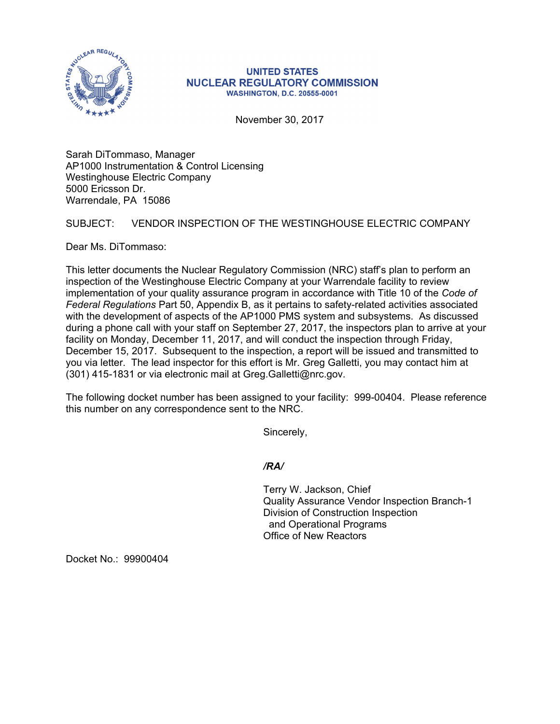

## **UNITED STATES NUCLEAR REGULATORY COMMISSION WASHINGTON, D.C. 20555-0001**

November 30, 2017

Sarah DiTommaso, Manager AP1000 Instrumentation & Control Licensing Westinghouse Electric Company 5000 Ericsson Dr. Warrendale, PA 15086

## SUBJECT: VENDOR INSPECTION OF THE WESTINGHOUSE ELECTRIC COMPANY

Dear Ms. DiTommaso:

This letter documents the Nuclear Regulatory Commission (NRC) staff's plan to perform an inspection of the Westinghouse Electric Company at your Warrendale facility to review implementation of your quality assurance program in accordance with Title 10 of the *Code of Federal Regulations* Part 50, Appendix B, as it pertains to safety-related activities associated with the development of aspects of the AP1000 PMS system and subsystems. As discussed during a phone call with your staff on September 27, 2017, the inspectors plan to arrive at your facility on Monday, December 11, 2017, and will conduct the inspection through Friday, December 15, 2017. Subsequent to the inspection, a report will be issued and transmitted to you via letter. The lead inspector for this effort is Mr. Greg Galletti, you may contact him at (301) 415-1831 or via electronic mail at Greg.Galletti@nrc.gov.

The following docket number has been assigned to your facility: 999-00404. Please reference this number on any correspondence sent to the NRC.

Sincerely,

*/RA/* 

Terry W. Jackson, Chief Quality Assurance Vendor Inspection Branch-1 Division of Construction Inspection and Operational Programs Office of New Reactors

Docket No.: 99900404